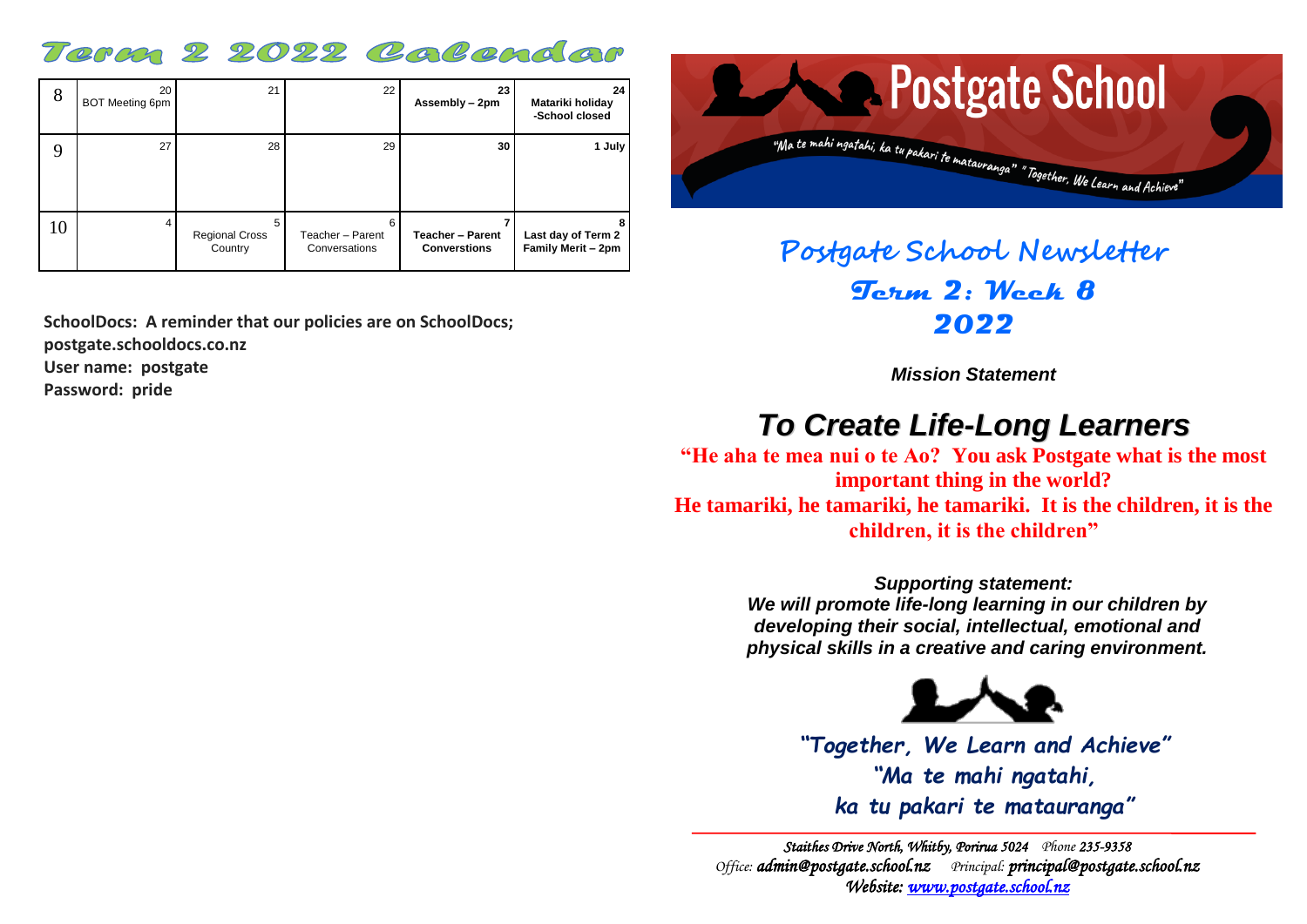### Term 2 2022 Colendar

| 8  | 20<br>BOT Meeting 6pm | 21                               | 22                                     | 23<br>Assembly - 2pm                           | 24<br>Matariki holiday<br>-School closed |
|----|-----------------------|----------------------------------|----------------------------------------|------------------------------------------------|------------------------------------------|
| 9  | 27                    | 28                               | 29                                     | 30                                             | 1 July                                   |
| 10 | 4                     | <b>Regional Cross</b><br>Country | 6<br>Teacher - Parent<br>Conversations | <b>Teacher - Parent</b><br><b>Converstions</b> | Last day of Term 2<br>Family Merit - 2pm |

**SchoolDocs: A reminder that our policies are on SchoolDocs; postgate.schooldocs.co.nz User name: postgate**

**Password: pride**



**Postgate School Newsletter Term 2: Week 8 2022**

*Mission Statement*

## *To Create Life-Long Learners*

**"He aha te mea nui o te Ao? You ask Postgate what is the most important thing in the world? He tamariki, he tamariki, he tamariki. It is the children, it is the children, it is the children"**

> *Supporting statement: We will promote life-long learning in our children by developing their social, intellectual, emotional and physical skills in a creative and caring environment.*



*"Together, We Learn and Achieve" "Ma te mahi ngatahi, ka tu pakari te matauranga"*

*Staithes Drive North, Whitby, Porirua 5024 Phone 235-9358 Office: [admin@postgate.school.nz](mailto:admin@postgate.school.nz) Principal: [principal@postgate.school.nz](mailto:principal@postgate.school.nz)  Website: [www.postgate.school.nz](http://www.postgate.school.nz/)*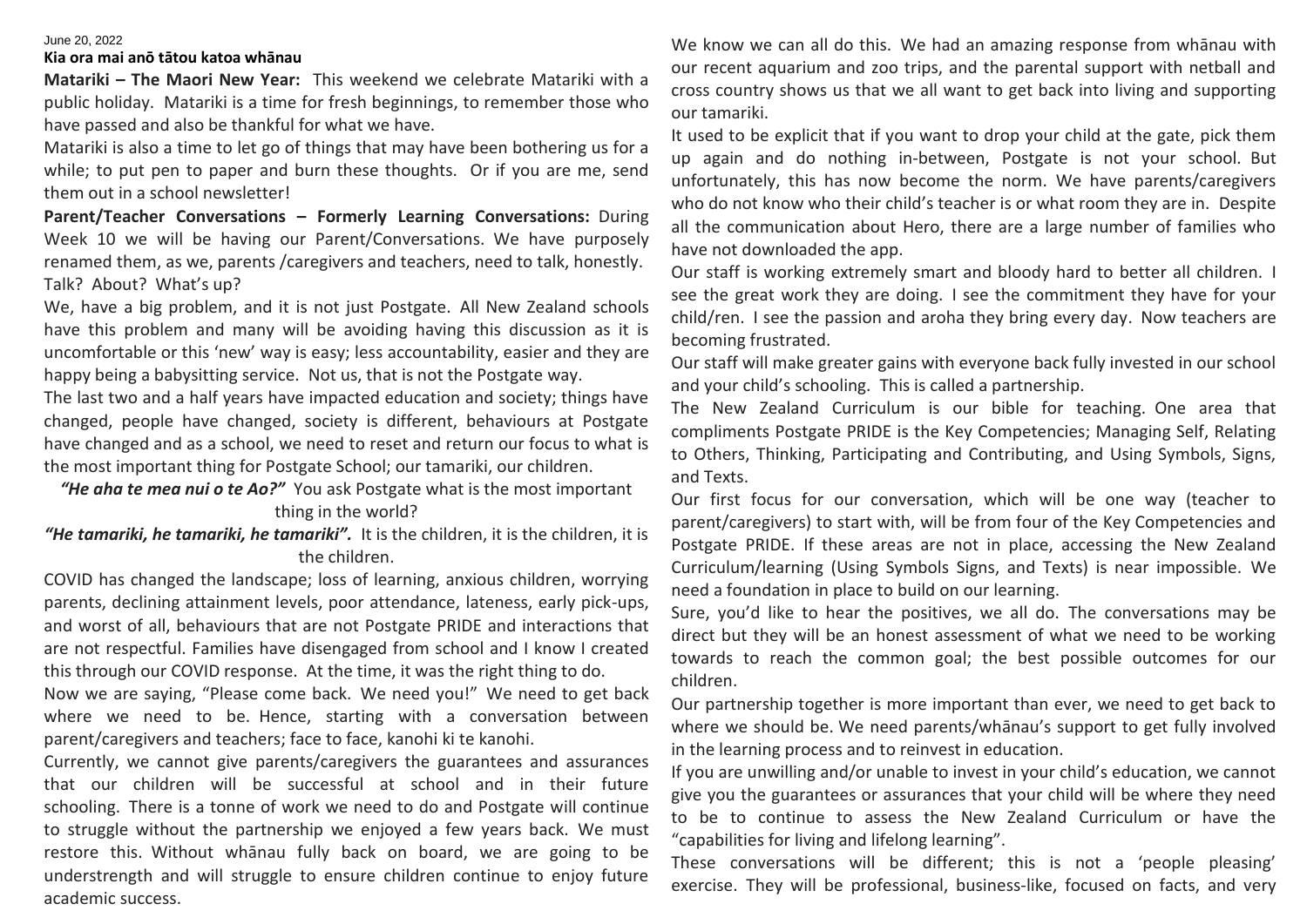#### June 20, 2022

#### **Kia ora mai anō tātou katoa whānau**

**Matariki – The Maori New Year:** This weekend we celebrate Matariki with a public holiday. Matariki is a time for fresh beginnings, to remember those who have passed and also be thankful for what we have.

Matariki is also a time to let go of things that may have been bothering us for a while; to put pen to paper and burn these thoughts. Or if you are me, send them out in a school newsletter!

**Parent/Teacher Conversations – Formerly Learning Conversations:** During Week 10 we will be having our Parent/Conversations. We have purposely renamed them, as we, parents /caregivers and teachers, need to talk, honestly. Talk? About? What's up?

We, have a big problem, and it is not just Postgate. All New Zealand schools have this problem and many will be avoiding having this discussion as it is uncomfortable or this 'new' way is easy; less accountability, easier and they are happy being a babysitting service. Not us, that is not the Postgate way.

The last two and a half years have impacted education and society; things have changed, people have changed, society is different, behaviours at Postgate have changed and as a school, we need to reset and return our focus to what is the most important thing for Postgate School; our tamariki, our children.

*"He aha te mea nui o te Ao?"* You ask Postgate what is the most important thing in the world?

*"He tamariki, he tamariki, he tamariki".* It is the children, it is the children, it is the children.

COVID has changed the landscape; loss of learning, anxious children, worrying parents, declining attainment levels, poor attendance, lateness, early pick-ups, and worst of all, behaviours that are not Postgate PRIDE and interactions that are not respectful. Families have disengaged from school and I know I created this through our COVID response. At the time, it was the right thing to do.

Now we are saying, "Please come back. We need you!" We need to get back where we need to be. Hence, starting with a conversation between parent/caregivers and teachers; face to face, kanohi ki te kanohi.

Currently, we cannot give parents/caregivers the guarantees and assurances that our children will be successful at school and in their future schooling. There is a tonne of work we need to do and Postgate will continue to struggle without the partnership we enjoyed a few years back. We must restore this. Without whānau fully back on board, we are going to be understrength and will struggle to ensure children continue to enjoy future academic success.

We know we can all do this. We had an amazing response from whānau with our recent aquarium and zoo trips, and the parental support with netball and cross country shows us that we all want to get back into living and supporting our tamariki.

It used to be explicit that if you want to drop your child at the gate, pick them up again and do nothing in-between, Postgate is not your school. But unfortunately, this has now become the norm. We have parents/caregivers who do not know who their child's teacher is or what room they are in. Despite all the communication about Hero, there are a large number of families who have not downloaded the app.

Our staff is working extremely smart and bloody hard to better all children. I see the great work they are doing. I see the commitment they have for your child/ren. I see the passion and aroha they bring every day. Now teachers are becoming frustrated.

Our staff will make greater gains with everyone back fully invested in our school and your child's schooling. This is called a partnership.

The New Zealand Curriculum is our bible for teaching. One area that compliments Postgate PRIDE is the Key Competencies; Managing Self, Relating to Others, Thinking, Participating and Contributing, and Using Symbols, Signs, and Texts.

Our first focus for our conversation, which will be one way (teacher to parent/caregivers) to start with, will be from four of the Key Competencies and Postgate PRIDE. If these areas are not in place, accessing the New Zealand Curriculum/learning (Using Symbols Signs, and Texts) is near impossible. We need a foundation in place to build on our learning.

Sure, you'd like to hear the positives, we all do. The conversations may be direct but they will be an honest assessment of what we need to be working towards to reach the common goal; the best possible outcomes for our children.

Our partnership together is more important than ever, we need to get back to where we should be. We need parents/whānau's support to get fully involved in the learning process and to reinvest in education.

If you are unwilling and/or unable to invest in your child's education, we cannot give you the guarantees or assurances that your child will be where they need to be to continue to assess the New Zealand Curriculum or have the "capabilities for living and lifelong learning".

These conversations will be different; this is not a 'people pleasing' exercise. They will be professional, business-like, focused on facts, and very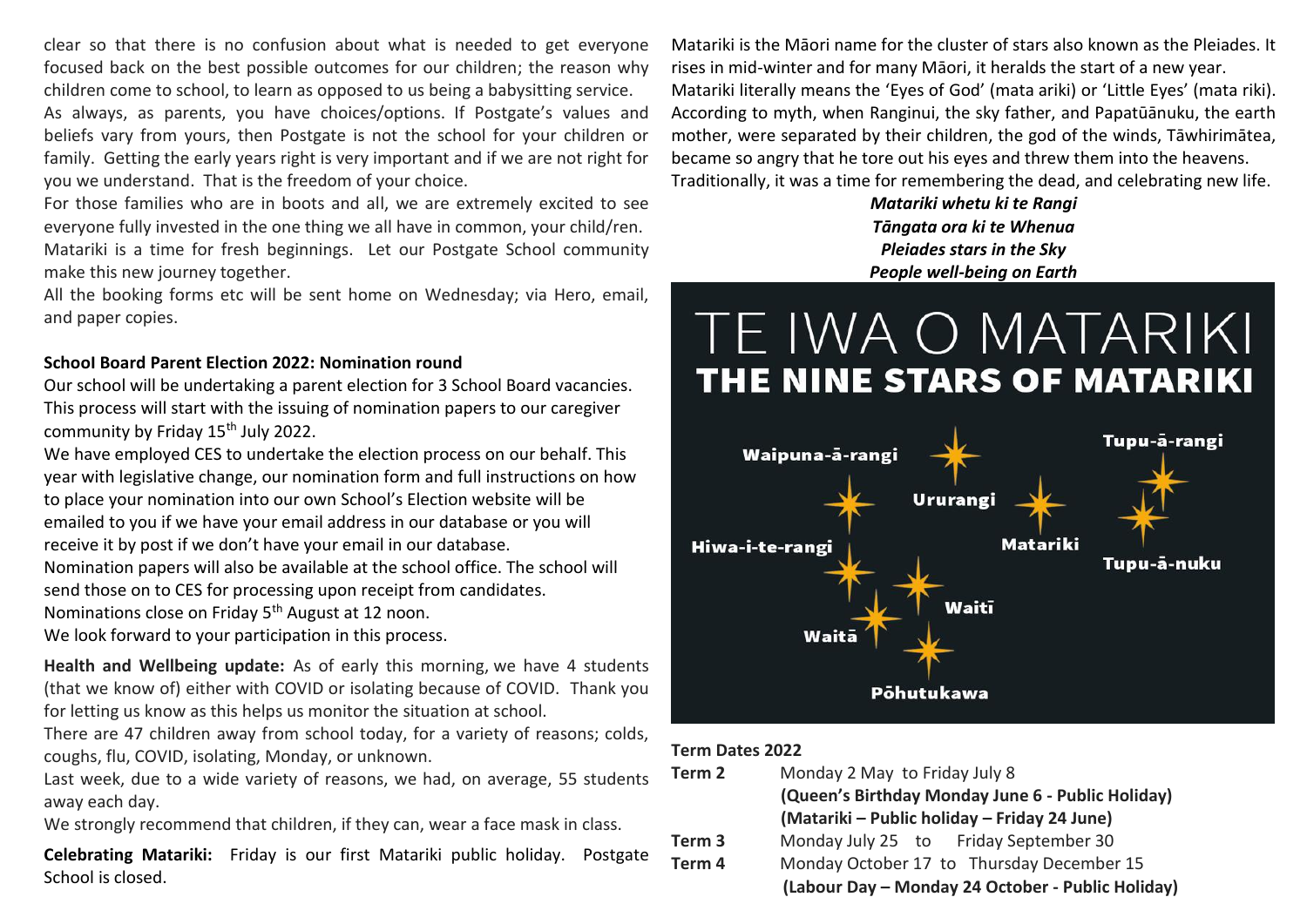clear so that there is no confusion about what is needed to get everyone focused back on the best possible outcomes for our children; the reason why children come to school, to learn as opposed to us being a babysitting service.

As always, as parents, you have choices/options. If Postgate's values and beliefs vary from yours, then Postgate is not the school for your children or family. Getting the early years right is very important and if we are not right for you we understand. That is the freedom of your choice.

For those families who are in boots and all, we are extremely excited to see everyone fully invested in the one thing we all have in common, your child/ren. Matariki is a time for fresh beginnings. Let our Postgate School community make this new journey together.

All the booking forms etc will be sent home on Wednesday; via Hero, email, and paper copies.

#### **SchooI Board Parent Election 2022: Nomination round**

Our school will be undertaking a parent election for 3 School Board vacancies. This process will start with the issuing of nomination papers to our caregiver community by Friday 15<sup>th</sup> July 2022.

We have employed CES to undertake the election process on our behalf. This year with legislative change, our nomination form and full instructions on how to place your nomination into our own School's Election website will be emailed to you if we have your email address in our database or you will receive it by post if we don't have your email in our database.

Nomination papers will also be available at the school office. The school will send those on to CES for processing upon receipt from candidates.

Nominations close on Friday 5<sup>th</sup> August at 12 noon.

We look forward to your participation in this process.

**Health and Wellbeing update:** As of early this morning, we have 4 students (that we know of) either with COVID or isolating because of COVID. Thank you for letting us know as this helps us monitor the situation at school.

There are 47 children away from school today, for a variety of reasons; colds, coughs, flu, COVID, isolating, Monday, or unknown.

Last week, due to a wide variety of reasons, we had, on average, 55 students away each day.

We strongly recommend that children, if they can, wear a face mask in class.

**Celebrating Matariki:** Friday is our first Matariki public holiday. Postgate School is closed.

Matariki is the Māori name for the cluster of stars also known as the Pleiades. It rises in mid-winter and for many Māori, it heralds the start of a new year. Matariki literally means the 'Eyes of God' (mata ariki) or 'Little Eyes' (mata riki). According to myth, when Ranginui, the sky father, and Papatūānuku, the earth mother, were separated by their children, the god of the winds, Tāwhirimātea, became so angry that he tore out his eyes and threw them into the heavens. Traditionally, it was a time for remembering the dead, and celebrating new life.

> *Matariki whetu ki te Rangi Tāngata ora ki te Whenua Pleiades stars in the Sky People well-being on Earth*

# TE IWA O MATARIKI **THE NINE STARS OF MATARIKI**



#### **Term Dates 2022**

| Term 2            | Monday 2 May to Friday July 8                     |  |  |  |
|-------------------|---------------------------------------------------|--|--|--|
|                   | (Queen's Birthday Monday June 6 - Public Holiday) |  |  |  |
|                   | (Matariki – Public holiday – Friday 24 June)      |  |  |  |
| Term <sub>3</sub> | Monday July 25 to Friday September 30             |  |  |  |
| Term 4            | Monday October 17 to Thursday December 15         |  |  |  |
|                   | (Labour Day - Monday 24 October - Public Holiday) |  |  |  |